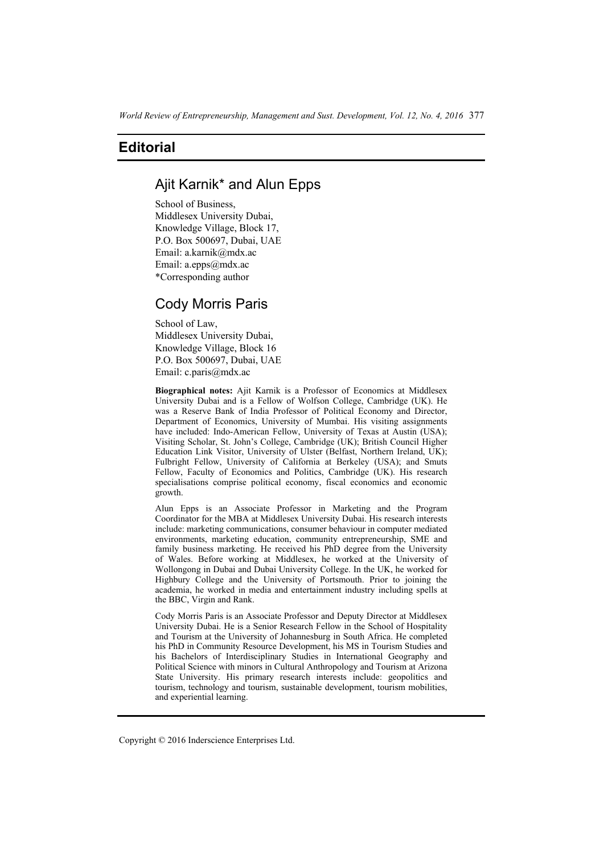## **Editorial**

# Ajit Karnik\* and Alun Epps

School of Business, Middlesex University Dubai, Knowledge Village, Block 17, P.O. Box 500697, Dubai, UAE Email: a.karnik@mdx.ac Email: a.epps@mdx.ac \*Corresponding author

## Cody Morris Paris

School of Law, Middlesex University Dubai, Knowledge Village, Block 16 P.O. Box 500697, Dubai, UAE Email: c.paris@mdx.ac

**Biographical notes:** Ajit Karnik is a Professor of Economics at Middlesex University Dubai and is a Fellow of Wolfson College, Cambridge (UK). He was a Reserve Bank of India Professor of Political Economy and Director, Department of Economics, University of Mumbai. His visiting assignments have included: Indo-American Fellow, University of Texas at Austin (USA); Visiting Scholar, St. John's College, Cambridge (UK); British Council Higher Education Link Visitor, University of Ulster (Belfast, Northern Ireland, UK); Fulbright Fellow, University of California at Berkeley (USA); and Smuts Fellow, Faculty of Economics and Politics, Cambridge (UK). His research specialisations comprise political economy, fiscal economics and economic growth.

Alun Epps is an Associate Professor in Marketing and the Program Coordinator for the MBA at Middlesex University Dubai. His research interests include: marketing communications, consumer behaviour in computer mediated environments, marketing education, community entrepreneurship, SME and family business marketing. He received his PhD degree from the University of Wales. Before working at Middlesex, he worked at the University of Wollongong in Dubai and Dubai University College. In the UK, he worked for Highbury College and the University of Portsmouth. Prior to joining the academia, he worked in media and entertainment industry including spells at the BBC, Virgin and Rank.

Cody Morris Paris is an Associate Professor and Deputy Director at Middlesex University Dubai. He is a Senior Research Fellow in the School of Hospitality and Tourism at the University of Johannesburg in South Africa. He completed his PhD in Community Resource Development, his MS in Tourism Studies and his Bachelors of Interdisciplinary Studies in International Geography and Political Science with minors in Cultural Anthropology and Tourism at Arizona State University. His primary research interests include: geopolitics and tourism, technology and tourism, sustainable development, tourism mobilities, and experiential learning.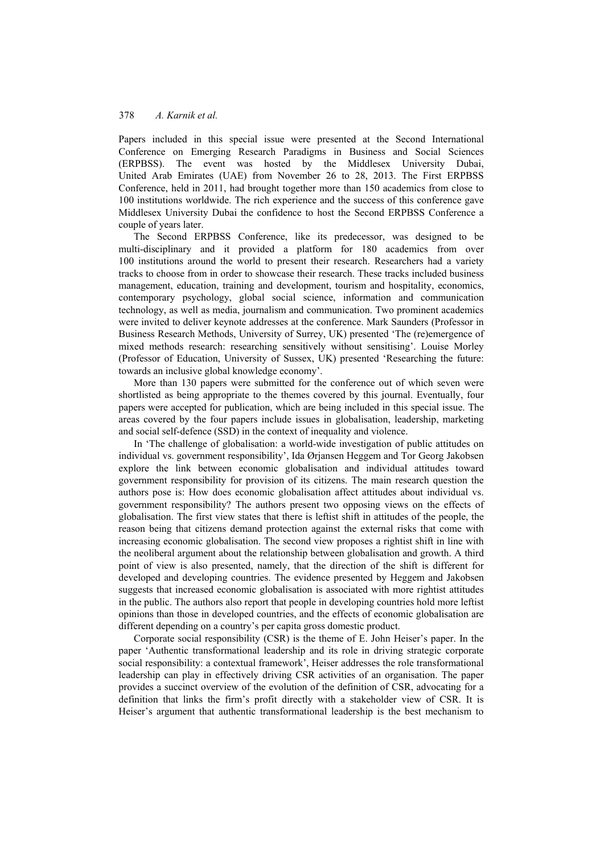### 378 *A. Karnik et al.*

Papers included in this special issue were presented at the Second International Conference on Emerging Research Paradigms in Business and Social Sciences (ERPBSS). The event was hosted by the Middlesex University Dubai, United Arab Emirates (UAE) from November 26 to 28, 2013. The First ERPBSS Conference, held in 2011, had brought together more than 150 academics from close to 100 institutions worldwide. The rich experience and the success of this conference gave Middlesex University Dubai the confidence to host the Second ERPBSS Conference a couple of years later.

The Second ERPBSS Conference, like its predecessor, was designed to be multi-disciplinary and it provided a platform for 180 academics from over 100 institutions around the world to present their research. Researchers had a variety tracks to choose from in order to showcase their research. These tracks included business management, education, training and development, tourism and hospitality, economics, contemporary psychology, global social science, information and communication technology, as well as media, journalism and communication. Two prominent academics were invited to deliver keynote addresses at the conference. Mark Saunders (Professor in Business Research Methods, University of Surrey, UK) presented 'The (re)emergence of mixed methods research: researching sensitively without sensitising'. Louise Morley (Professor of Education, University of Sussex, UK) presented 'Researching the future: towards an inclusive global knowledge economy'.

More than 130 papers were submitted for the conference out of which seven were shortlisted as being appropriate to the themes covered by this journal. Eventually, four papers were accepted for publication, which are being included in this special issue. The areas covered by the four papers include issues in globalisation, leadership, marketing and social self-defence (SSD) in the context of inequality and violence.

In 'The challenge of globalisation: a world-wide investigation of public attitudes on individual vs. government responsibility', Ida Ørjansen Heggem and Tor Georg Jakobsen explore the link between economic globalisation and individual attitudes toward government responsibility for provision of its citizens. The main research question the authors pose is: How does economic globalisation affect attitudes about individual vs. government responsibility? The authors present two opposing views on the effects of globalisation. The first view states that there is leftist shift in attitudes of the people, the reason being that citizens demand protection against the external risks that come with increasing economic globalisation. The second view proposes a rightist shift in line with the neoliberal argument about the relationship between globalisation and growth. A third point of view is also presented, namely, that the direction of the shift is different for developed and developing countries. The evidence presented by Heggem and Jakobsen suggests that increased economic globalisation is associated with more rightist attitudes in the public. The authors also report that people in developing countries hold more leftist opinions than those in developed countries, and the effects of economic globalisation are different depending on a country's per capita gross domestic product.

Corporate social responsibility (CSR) is the theme of E. John Heiser's paper. In the paper 'Authentic transformational leadership and its role in driving strategic corporate social responsibility: a contextual framework', Heiser addresses the role transformational leadership can play in effectively driving CSR activities of an organisation. The paper provides a succinct overview of the evolution of the definition of CSR, advocating for a definition that links the firm's profit directly with a stakeholder view of CSR. It is Heiser's argument that authentic transformational leadership is the best mechanism to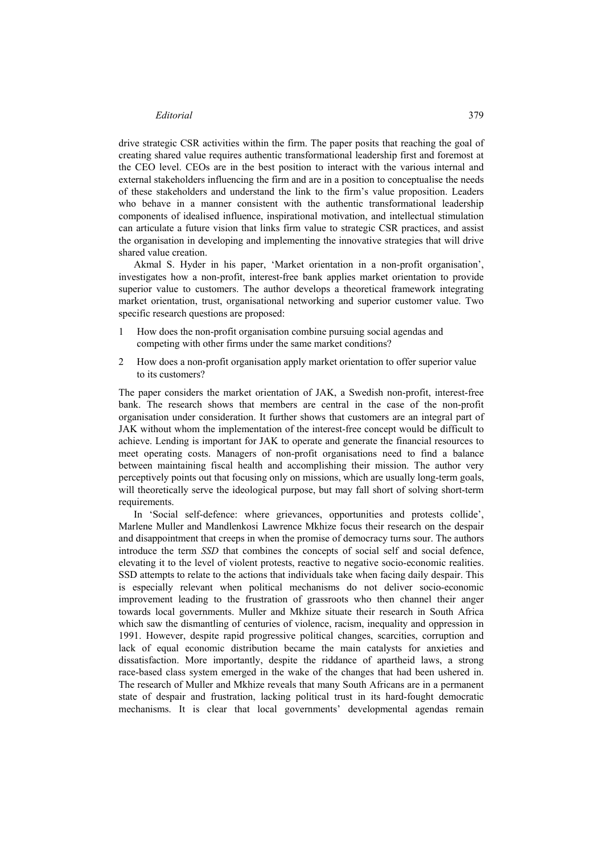#### *Editorial* 379

drive strategic CSR activities within the firm. The paper posits that reaching the goal of creating shared value requires authentic transformational leadership first and foremost at the CEO level. CEOs are in the best position to interact with the various internal and external stakeholders influencing the firm and are in a position to conceptualise the needs of these stakeholders and understand the link to the firm's value proposition. Leaders who behave in a manner consistent with the authentic transformational leadership components of idealised influence, inspirational motivation, and intellectual stimulation can articulate a future vision that links firm value to strategic CSR practices, and assist the organisation in developing and implementing the innovative strategies that will drive shared value creation.

Akmal S. Hyder in his paper, 'Market orientation in a non-profit organisation', investigates how a non-profit, interest-free bank applies market orientation to provide superior value to customers. The author develops a theoretical framework integrating market orientation, trust, organisational networking and superior customer value. Two specific research questions are proposed:

- 1 How does the non-profit organisation combine pursuing social agendas and competing with other firms under the same market conditions?
- 2 How does a non-profit organisation apply market orientation to offer superior value to its customers?

The paper considers the market orientation of JAK, a Swedish non-profit, interest-free bank. The research shows that members are central in the case of the non-profit organisation under consideration. It further shows that customers are an integral part of JAK without whom the implementation of the interest-free concept would be difficult to achieve. Lending is important for JAK to operate and generate the financial resources to meet operating costs. Managers of non-profit organisations need to find a balance between maintaining fiscal health and accomplishing their mission. The author very perceptively points out that focusing only on missions, which are usually long-term goals, will theoretically serve the ideological purpose, but may fall short of solving short-term requirements.

In 'Social self-defence: where grievances, opportunities and protests collide', Marlene Muller and Mandlenkosi Lawrence Mkhize focus their research on the despair and disappointment that creeps in when the promise of democracy turns sour. The authors introduce the term *SSD* that combines the concepts of social self and social defence, elevating it to the level of violent protests, reactive to negative socio-economic realities. SSD attempts to relate to the actions that individuals take when facing daily despair. This is especially relevant when political mechanisms do not deliver socio-economic improvement leading to the frustration of grassroots who then channel their anger towards local governments. Muller and Mkhize situate their research in South Africa which saw the dismantling of centuries of violence, racism, inequality and oppression in 1991. However, despite rapid progressive political changes, scarcities, corruption and lack of equal economic distribution became the main catalysts for anxieties and dissatisfaction. More importantly, despite the riddance of apartheid laws, a strong race-based class system emerged in the wake of the changes that had been ushered in. The research of Muller and Mkhize reveals that many South Africans are in a permanent state of despair and frustration, lacking political trust in its hard-fought democratic mechanisms. It is clear that local governments' developmental agendas remain